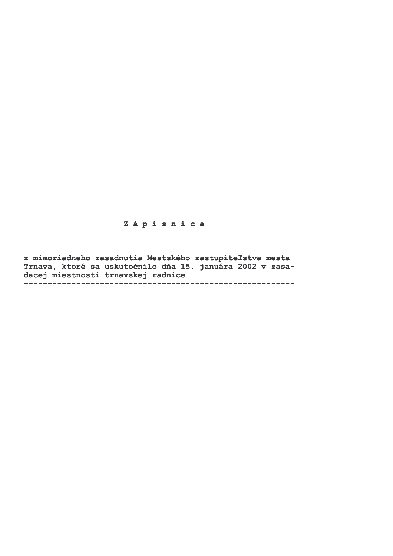# Zápisnica

z mimoriadneho zasadnutia Mestského zastupiteľstva mesta Trnava, ktoré sa uskutočnilo dňa 15. januára 2002 v zasadacej miestnosti trnavskej radnice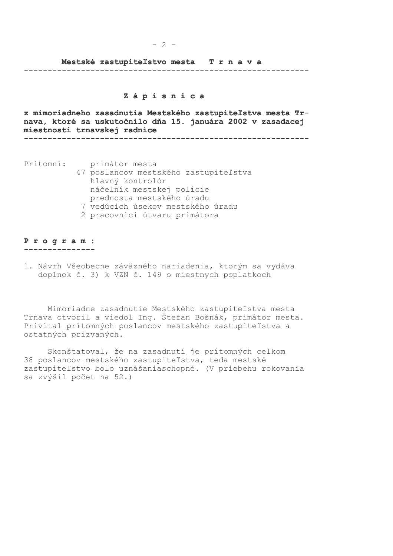### Mestské zastupiteľstvo mesta Trnava

#### 

## Zápisnica

 $-2 -$ 

z mimoriadneho zasadnutia Mestského zastupiteľstva mesta Trnava, ktoré sa uskutočnilo dňa 15. januára 2002 v zasadacej miestnosti trnavskej radnice 

Prítomní:

- primátor mesta 47 poslancov mestského zastupiteľstva hlavný kontrolór náčelník mestskej polície prednosta mestského úradu 7 vedúcich úsekov mestského úradu
	- 2 pracovníci útvaru primátora

#### Program: . <u>. . . . . . . . . . . . . .</u> .

1. Návrh Všeobecne záväzného nariadenia, ktorým sa vydáva doplnok č. 3) k VZN č. 149 o miestnych poplatkoch

Mimoriadne zasadnutie Mestského zastupiteľstva mesta Trnava otvoril a viedol Ing. Štefan Bošnák, primátor mesta. Privítal prítomných poslancov mestského zastupiteľstva a ostatných prizvaných.

Skonštatoval, že na zasadnutí je prítomných celkom 38 poslancov mestského zastupiteľstva, teda mestské zastupiteľstvo bolo uznášaniaschopné. (V priebehu rokovania sa zvýšil počet na 52.)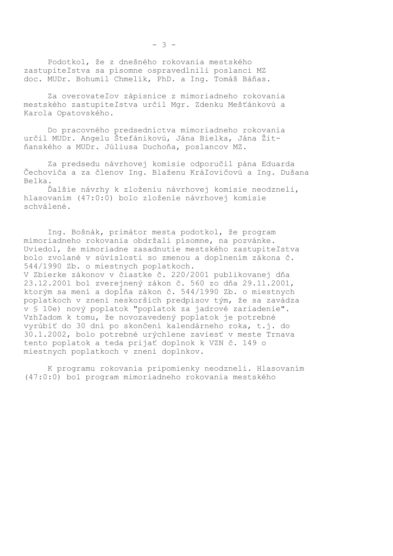Za overovateľov zápisnice z mimoriadneho rokovania mestského zastupiteľstva určil Mgr. Zdenku Mešťánkovú a Karola Opatovského.

Do pracovného predsedníctva mimoriadneho rokovania určil MUDr. Angelu Štefánikovú, Jána Bielka, Jána Žitňanského a MUDr. Júliusa Duchoňa, poslancov MZ.

Za predsedu návrhovej komisie odporučil pána Eduarda Čechoviča a za členov Ing. Blaženu Kráľovičovú a Ing. Dušana Belka.

Ďalšie návrhy k zloženiu návrhovej komisie neodzneli, hlasovaním (47:0:0) bolo zloženie návrhovej komisie schválené.

Ing. Bošnák, primátor mesta podotkol, že program mimoriadneho rokovania obdržali písomne, na pozvánke. Uviedol, že mimoriadne zasadnutie mestského zastupiteľstva bolo zvolané v súvislosti so zmenou a doplnením zákona č. 544/1990 Zb. o miestnych poplatkoch. V Zbierke zákonov v čiastke č. 220/2001 publikovanej dňa 23.12.2001 bol zverejnený zákon č. 560 zo dňa 29.11.2001, ktorým sa mení a dopĺňa zákon č. 544/1990 Zb. o miestnych poplatkoch v znení neskorších predpisov tým, že sa zavádza v § 10e) nový poplatok "poplatok za jadrové zariadenie". Vzhľadom k tomu, že novozavedený poplatok je potrebné vyrúbiť do 30 dní po skončení kalendárneho roka, t.j. do 30.1.2002, bolo potrebné urýchlene zaviesť v meste Trnava tento poplatok a teda prijať doplnok k VZN č. 149 o miestnych poplatkoch v znení doplnkov.

K programu rokovania pripomienky neodzneli. Hlasovaním (47:0:0) bol program mimoriadneho rokovania mestského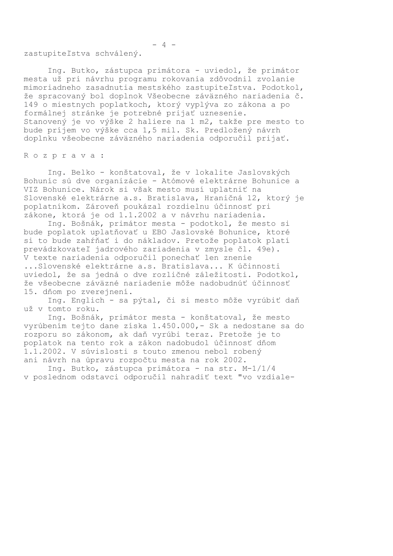zastupiteľstva schválený.

Ing. Butko, zástupca primátora - uviedol, že primátor mesta už pri návrhu programu rokovania zdôvodnil zvolanie mimoriadneho zasadnutia mestského zastupiteľstva. Podotkol, že spracovaný bol doplnok Všeobecne záväzného nariadenia č. 149 o miestnych poplatkoch, ktorý vyplýva zo zákona a po formálnej stránke je potrebné prijať uznesenie. Stanovený je vo výške 2 haliere na 1 m2, takže pre mesto to bude príjem vo výške cca 1,5 mil. Sk. Predložený návrh doplnku všeobecne záväzného nariadenia odporučil prijať.

Rozprava:

Ing. Belko - konštatoval, že v lokalite Jaslovských Bohuníc sú dve organizácie - Atómové elektrárne Bohunice a VIZ Bohunice. Nárok si však mesto musí uplatniť na Slovenské elektrárne a.s. Bratislava, Hraničná 12, ktorý je poplatníkom. Zároveň poukázal rozdielnu účinnosť pri zákone, ktorá je od 1.1.2002 a v návrhu nariadenia.

Ing. Bošnák, primátor mesta - podotkol, že mesto si bude poplatok uplatňovať u EBO Jaslovské Bohunice, ktoré si to bude zahŕňať i do nákladov. Pretože poplatok platí prevádzkovateľ jadrového zariadenia v zmysle čl. 49e). V texte nariadenia odporučil ponechať len znenie ... Slovenské elektrárne a.s. Bratislava... K účinnosti uviedol, že sa jedná o dve rozličné záležitosti. Podotkol, že všeobecne záväzné nariadenie môže nadobudnúť účinnosť 15. dňom po zverejnení.

Ing. Englich - sa pýtal, či si mesto môže vyrúbiť daň už v tomto roku.

Ing. Bošnák, primátor mesta - konštatoval, že mesto vyrúbením tejto dane získa 1.450.000, - Sk a nedostane sa do rozporu so zákonom, ak daň vyrúbi teraz. Pretože je to poplatok na tento rok a zákon nadobudol účinnosť dňom 1.1.2002. V súvislosti s touto zmenou nebol robený ani návrh na úpravu rozpočtu mesta na rok 2002.

Ing. Butko, zástupca primátora - na str. M-1/1/4 v poslednom odstavci odporučil nahradiť text "vo vzdiale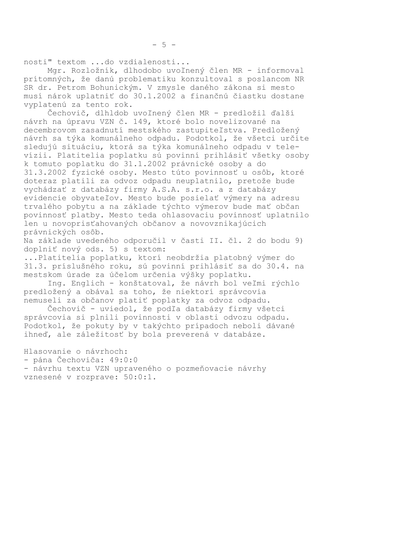nosti" textom ...do vzdialenosti...

Mgr. Rozložník, dlhodobo uvoľnený člen MR - informoval prítomných, že danú problematiku konzultoval s poslancom NR SR dr. Petrom Bohunickým. V zmysle daného zákona si mesto musí nárok uplatniť do 30.1.2002 a finančnú čiastku dostane vyplatenú za tento rok.

Čechovič, dlhldob uvoľnený člen MR - predložil ďalší návrh na úpravu VZN č. 149, ktoré bolo novelizované na decembrovom zasadnutí mestského zastupiteľstva. Predložený návrh sa týka komunálneho odpadu. Podotkol, že všetci určite sledujú situáciu, ktorá sa týka komunálneho odpadu v televízii. Platitelia poplatku sú povinní prihlásiť všetky osoby k tomuto poplatku do 31.1.2002 právnické osoby a do 31.3.2002 fyzické osoby. Mesto túto povinnosť u osôb, ktoré doteraz platili za odvoz odpadu neuplatnilo, pretože bude vychádzať z databázy firmy A.S.A. s.r.o. a z databázy evidencie obyvateľov. Mesto bude posielať výmery na adresu trvalého pobytu a na základe týchto výmerov bude mať občan povinnosť platby. Mesto teda ohlasovaciu povinnosť uplatnilo len u novoprisťahovaných občanov a novovznikajúcich právnických osôb.

Na základe uvedeného odporučil v časti II. čl. 2 do bodu 9) doplniť nový ods. 5) s textom:

... Platitelia poplatku, ktorí neobdržia platobný výmer do 31.3. príslušného roku, sú povinní prihlásiť sa do 30.4. na mestskom úrade za účelom určenia výšky poplatku.

Ing. Englich - konštatoval, že návrh bol veľmi rýchlo predložený a obával sa toho, že niektorí správcovia nemuseli za občanov platiť poplatky za odvoz odpadu.

Čechovič - uviedol, že podľa databázy firmy všetci správcovia si plnili povinnosti v oblasti odvozu odpadu. Podotkol, že pokuty by v takýchto prípadoch neboli dávané ihneď, ale záležitosť by bola preverená v databáze.

Hlasovanie o návrhoch:

- pána Čechoviča: 49:0:0

- návrhu textu VZN upraveného o pozmeňovacie návrhy vznesené v rozprave: 50:0:1.